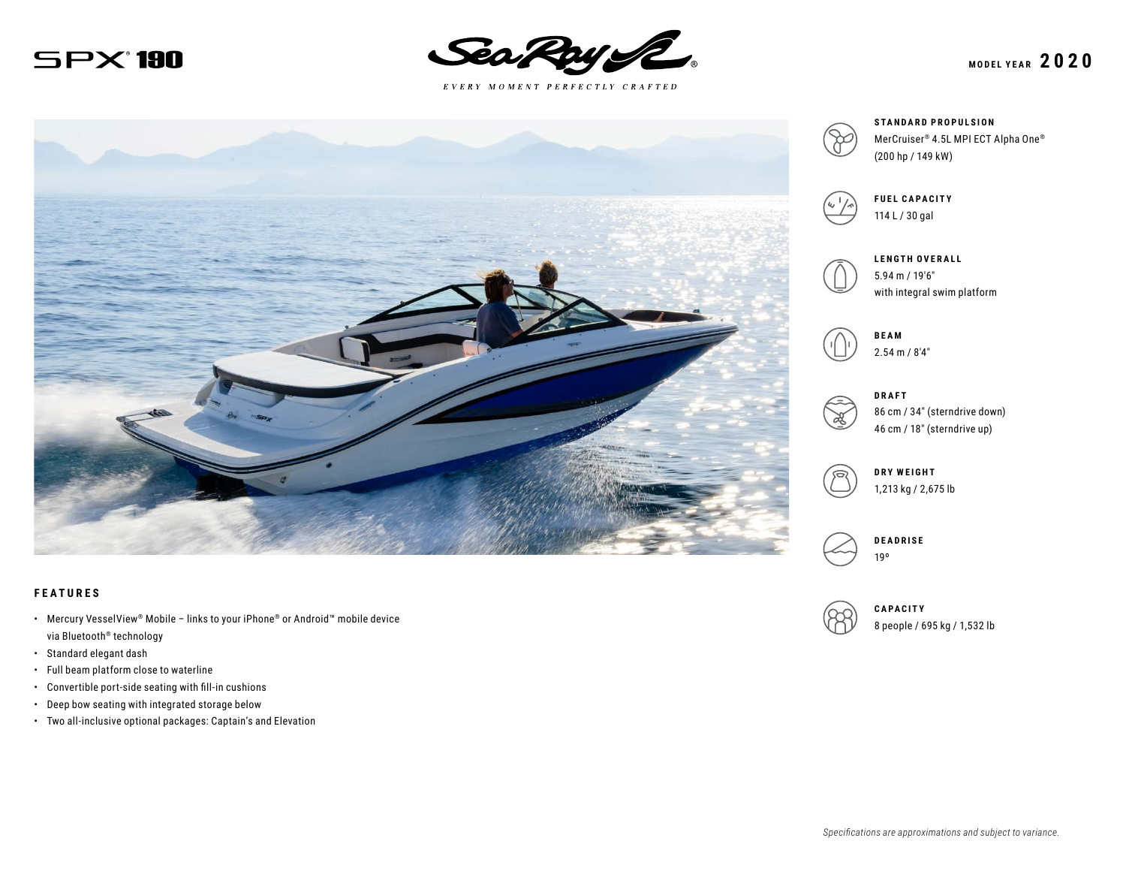$SPX$  190



 $E \; V \; E \; R \; Y \quad M \; O \; M \; E \; N \; T \quad P \; E \; R \; F \; E \; C \; T \; L \; Y \quad C \; R \; A \; F \; T \; E \; D$ 





#### **FEATURES**

- Mercury VesselView® Mobile links to your iPhone® or Android™ mobile device via Bluetooth® technology
- Standard elegant dash
- Full beam platform close to waterline
- Convertible port-side seating with fill-in cushions
- Deep bow seating with integrated storage below
- Two all-inclusive optional packages: Captain's and Elevation

**STANDARD PROPULSION** MerCruiser® 4.5L MPI ECT Alpha One® (200 hp / 149 kW)



**FUEL CAPACITY** 114 L / 30 gal



**LENGTH OVERALL** 5.94 m / 19′6″ with integral swim platform



2.54 m / 8′4″

**DRAFT**

86 cm / 34″ (sterndrive down) 46 cm / 18″ (sterndrive up)





19º



**CAPACITY** 8 people / 695 kg / 1,532 lb